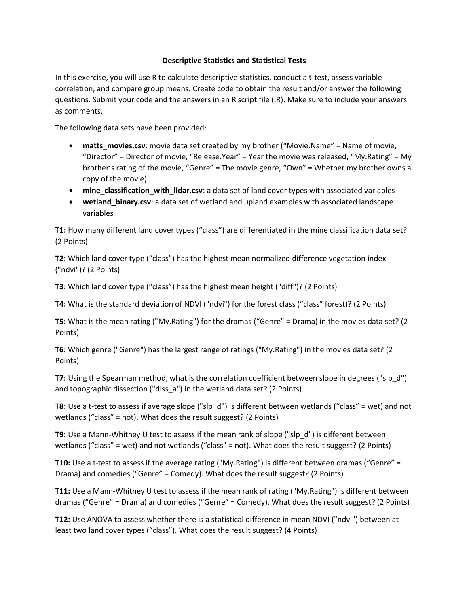## **Descriptive Statistics and Statistical Tests**

In this exercise, you will use R to calculate descriptive statistics, conduct a t-test, assess variable correlation, and compare group means. Create code to obtain the result and/or answer the following questions. Submit your code and the answers in an R script file (.R). Make sure to include your answers as comments.

The following data sets have been provided:

- **matts\_movies.csv**: movie data set created by my brother ("Movie.Name" = Name of movie, "Director" = Director of movie, "Release.Year" = Year the movie was released, "My.Rating" = My brother's rating of the movie, "Genre" = The movie genre, "Own" = Whether my brother owns a copy of the movie)
- **mine\_classification\_with\_lidar.csv**: a data set of land cover types with associated variables
- **wetland\_binary.csv**: a data set of wetland and upland examples with associated landscape variables

**T1:** How many different land cover types ("class") are differentiated in the mine classification data set? (2 Points)

**T2:** Which land cover type ("class") has the highest mean normalized difference vegetation index ("ndvi")? (2 Points)

**T3:** Which land cover type ("class") has the highest mean height ("diff")? (2 Points)

**T4:** What is the standard deviation of NDVI ("ndvi") for the forest class ("class" forest)? (2 Points)

**T5:** What is the mean rating ("My.Rating") for the dramas ("Genre" = Drama) in the movies data set? (2 Points)

**T6:** Which genre ("Genre") has the largest range of ratings ("My.Rating") in the movies data set? (2 Points)

**T7:** Using the Spearman method, what is the correlation coefficient between slope in degrees ("slp\_d") and topographic dissection ("diss\_a") in the wetland data set? (2 Points)

**T8:** Use a t-test to assess if average slope ("slp\_d") is different between wetlands ("class" = wet) and not wetlands ("class" = not). What does the result suggest? (2 Points)

**T9:** Use a Mann-Whitney U test to assess if the mean rank of slope ("slp\_d") is different between wetlands ("class" = wet) and not wetlands ("class" = not). What does the result suggest? (2 Points)

**T10:** Use a t-test to assess if the average rating ("My.Rating") is different between dramas ("Genre" = Drama) and comedies ("Genre" = Comedy). What does the result suggest? (2 Points)

**T11:** Use a Mann-Whitney U test to assess if the mean rank of rating ("My.Rating") is different between dramas ("Genre" = Drama) and comedies ("Genre" = Comedy). What does the result suggest? (2 Points)

**T12:** Use ANOVA to assess whether there is a statistical difference in mean NDVI ("ndvi") between at least two land cover types ("class"). What does the result suggest? (4 Points)